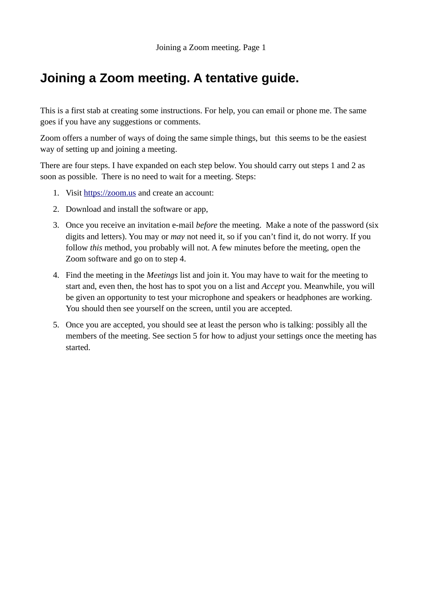# **Joining a Zoom meeting. A tentative guide.**

This is a first stab at creating some instructions. For help, you can email or phone me. The same goes if you have any suggestions or comments.

Zoom offers a number of ways of doing the same simple things, but this seems to be the easiest way of setting up and joining a meeting.

There are four steps. I have expanded on each step below. You should carry out steps 1 and 2 as soon as possible. There is no need to wait for a meeting. Steps:

- 1. Visit [https://zoom.us](https://zoom.us/) and create an account:
- 2. Download and install the software or app,
- 3. Once you receive an invitation e-mail *before* the meeting. Make a note of the password (six digits and letters). You may or *may* not need it, so if you can't find it, do not worry. If you follow *this* method, you probably will not. A few minutes before the meeting, open the Zoom software and go on to step 4.
- 4. Find the meeting in the *Meetings* list and join it. You may have to wait for the meeting to start and, even then, the host has to spot you on a list and *Accept* you. Meanwhile, you will be given an opportunity to test your microphone and speakers or headphones are working. You should then see yourself on the screen, until you are accepted.
- 5. Once you are accepted, you should see at least the person who is talking: possibly all the members of the meeting. See section 5 for how to adjust your settings once the meeting has started.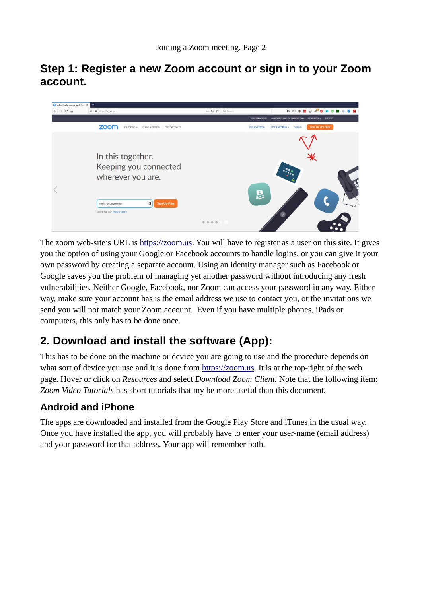## **Step 1: Register a new Zoom account or sign in to your Zoom account.**

| Video Conferencing, Web Conf X               |                                                                                   |               |                                                                                          |
|----------------------------------------------|-----------------------------------------------------------------------------------|---------------|------------------------------------------------------------------------------------------|
| $\leftarrow$ $\rightarrow$<br>$C^*$ $\Omega$ | $\n  ①\n  ①\n  https://zoom.us$                                                   | … ⊙☆ Q Search | $\mathbb{R}$<br>$ID \oplus 0$                                                            |
|                                              |                                                                                   |               | +44 (20) 7039 8961 OR 0800 368 7314<br>RESOURCES - SUPPORT<br><b>REQUEST A DEMO</b>      |
|                                              | zoom<br>SOLUTIONS -<br>PLANS & PRICING<br>CONTACT SALES                           |               | SIGN UP, IT'S FREE<br><b>SIGN IN</b><br><b>JOIN A MEETING</b><br><b>HOST A MEETING +</b> |
|                                              | In this together.<br>Keeping you connected<br>wherever you are.                   |               | े                                                                                        |
|                                              | $\Box$<br><b>Sign Up Free</b><br>me@mydomain.com<br>Check out our Privacy Policy. |               | Д.<br>$\mathcal{O}(\mathcal{O}(\mathcal{O}(\mathcal{O})))$                               |
|                                              |                                                                                   | 0 0 0 0 1     |                                                                                          |

The zoom web-site's URL is [https://zoom.us](https://zoom.us/). You will have to register as a user on this site. It gives you the option of using your Google or Facebook accounts to handle logins, or you can give it your own password by creating a separate account. Using an identity manager such as Facebook or Google saves you the problem of managing yet another password without introducing any fresh vulnerabilities. Neither Google, Facebook, nor Zoom can access your password in any way. Either way, make sure your account has is the email address we use to contact you, or the invitations we send you will not match your Zoom account. Even if you have multiple phones, iPads or computers, this only has to be done once.

# **2. Download and install the software (App):**

This has to be done on the machine or device you are going to use and the procedure depends on what sort of device you use and it is done from [https://zoom.us.](https://zoom.us/) It is at the top-right of the web page. Hover or click on *Resources* and select *Download Zoom Client.* Note that the following item: *Zoom Video Tutorials* has short tutorials that my be more useful than this document.

### **Android and iPhone**

The apps are downloaded and installed from the Google Play Store and iTunes in the usual way. Once you have installed the app, you will probably have to enter your user-name (email address) and your password for that address. Your app will remember both.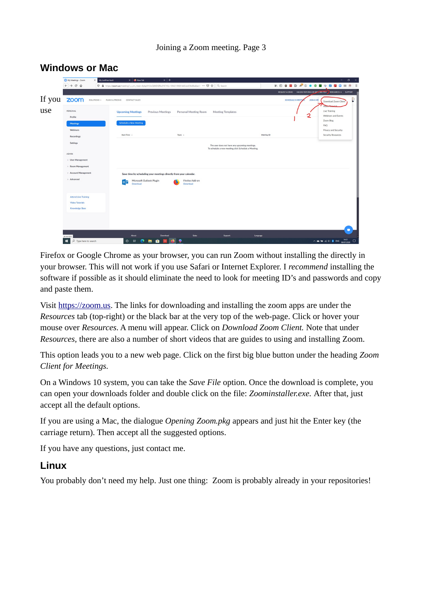|        | $\times$ +<br>$\sigma$<br>$\times$ $\bullet$ New Tab<br>$\sim$ .<br>My Meetings - Zoom<br>X My LastPass Vault |                                                                                                    |                                                     |                                               |                                                                                                                                   |  |  |
|--------|---------------------------------------------------------------------------------------------------------------|----------------------------------------------------------------------------------------------------|-----------------------------------------------------|-----------------------------------------------|-----------------------------------------------------------------------------------------------------------------------------------|--|--|
|        | $\rightarrow$ $C$ $\hat{w}$<br>$\leftarrow$                                                                   | 1 A https://zoom.us/meeting?_x_zm_rtaid=8ybpVh3oQ8KDIZRu0YCYIQ.1594219681443.dc03b88a8ae8 ••• ⊙☆ ◇ |                                                     |                                               |                                                                                                                                   |  |  |
|        |                                                                                                               |                                                                                                    |                                                     |                                               | REQUEST A DEMO +44 (20) 7039 8961 OR 08% 368 7314 RESOURCES + SUPPORT                                                             |  |  |
| If you | zoom<br>SOLUTIONS -                                                                                           | CONTACT SALES<br>PLANS & PRICING                                                                   |                                                     | SCHEDULE A MEETIN                             | U<br><b>JOIN A ME</b><br>Download Zoom Client                                                                                     |  |  |
| use    | PERSONAL                                                                                                      | <b>Upcoming Meetings</b><br><b>Previous Meetings</b>                                               | Personal Meeting Room<br><b>Meeting Templates</b>   |                                               | Victory<br>Live Training<br>2<br>Webinars and Events                                                                              |  |  |
|        | Profile                                                                                                       | <b>Schedule a New Meeting</b>                                                                      |                                                     |                                               | Zoom Blog                                                                                                                         |  |  |
|        | <b>Meetings</b><br>Webinars                                                                                   |                                                                                                    |                                                     |                                               | FAQ<br>Privacy and Security                                                                                                       |  |  |
|        | Recordings                                                                                                    | Start Time :                                                                                       | Topic :                                             | Meeting ID                                    | <b>Security Resources</b>                                                                                                         |  |  |
|        | Settings                                                                                                      |                                                                                                    |                                                     | The user does not have any upcoming meetings. |                                                                                                                                   |  |  |
|        |                                                                                                               |                                                                                                    | To schedule a new meeting click Schedule a Meeting. |                                               |                                                                                                                                   |  |  |
|        | <b>ADMIN</b>                                                                                                  |                                                                                                    |                                                     |                                               |                                                                                                                                   |  |  |
|        | > User Management<br>> Room Management                                                                        |                                                                                                    |                                                     |                                               |                                                                                                                                   |  |  |
|        | > Account Management                                                                                          | Save time by scheduling your meetings directly from your calendar.                                 |                                                     |                                               |                                                                                                                                   |  |  |
|        | > Advanced                                                                                                    | Microsoft Outlook Plugin                                                                           | Firefox Add-on                                      |                                               |                                                                                                                                   |  |  |
|        |                                                                                                               | $\circ$<br>Download                                                                                | Download                                            |                                               |                                                                                                                                   |  |  |
|        |                                                                                                               |                                                                                                    |                                                     |                                               |                                                                                                                                   |  |  |
|        | <b>Attend Live Training</b>                                                                                   |                                                                                                    |                                                     |                                               |                                                                                                                                   |  |  |
|        | <b>Video Tutorials</b><br>Knowledge Base                                                                      |                                                                                                    |                                                     |                                               |                                                                                                                                   |  |  |
|        |                                                                                                               |                                                                                                    |                                                     |                                               |                                                                                                                                   |  |  |
|        |                                                                                                               |                                                                                                    |                                                     |                                               |                                                                                                                                   |  |  |
|        |                                                                                                               |                                                                                                    |                                                     |                                               |                                                                                                                                   |  |  |
|        | javascript:                                                                                                   | Download<br>About                                                                                  | <b>Sales</b><br>Support                             | Language                                      |                                                                                                                                   |  |  |
|        | 推<br>$O$ Type here to search                                                                                  | Ĥ<br>$\circ$<br>n<br>a:<br>m                                                                       |                                                     |                                               | $\wedge$ $\cong$ $\cong$ $\otimes$ $\otimes$ $\oplus$ $\cong$ $\cong$ $\otimes$ $\otimes$ $\otimes$ $\otimes$ $\otimes$ $\otimes$ |  |  |

### **Windows or Mac**

Firefox or Google Chrome as your browser, you can run Zoom without installing the directly in your browser. This will not work if you use Safari or Internet Explorer. I *recommend* installing the software if possible as it should eliminate the need to look for meeting ID's and passwords and copy and paste them.

Visit [https://zoom.us](https://zoom.us/). The links for downloading and installing the zoom apps are under the *Resources* tab (top-right) or the black bar at the very top of the web-page. Click or hover your mouse over *Resources*. A menu will appear. Click on *Download Zoom Client.* Note that under *Resources,* there are also a number of short videos that are guides to using and installing Zoom.

This option leads you to a new web page. Click on the first big blue button under the heading *Zoom Client for Meetings.*

On a Windows 10 system, you can take the *Save File* option. Once the download is complete, you can open your downloads folder and double click on the file: *Zoominstaller.exe.* After that, just accept all the default options.

If you are using a Mac, the dialogue *Opening Zoom.pkg* appears and just hit the Enter key (the carriage return). Then accept all the suggested options.

If you have any questions, just contact me.

#### **Linux**

You probably don't need my help. Just one thing: Zoom is probably already in your repositories!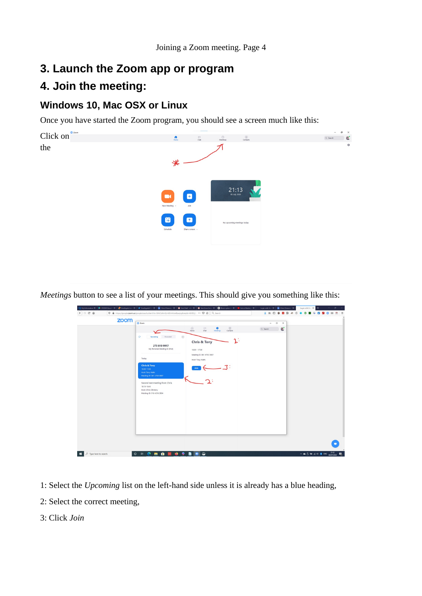# **3. Launch the Zoom app or program**

# **4. Join the meeting:**

### **Windows 10, Mac OSX or Linux**

Once you have started the Zoom program, you should see a screen much like this:



*Meetings* button to see a list of your meetings. This should give you something like this:

| zoom | C Zoom                                               |                                                                                                    | $\Box$<br>$\times$<br>$\sim$ |  |
|------|------------------------------------------------------|----------------------------------------------------------------------------------------------------|------------------------------|--|
|      |                                                      | $\boxed{3}$<br>$\Omega$<br>$\circ$<br>$\bullet$<br>Chat<br>Contacts<br>Home<br>Meetings            | ď<br>Q Search                |  |
|      | $\mathbf{C}$<br>Recorded<br>Upcoming                 | $\qquad \qquad \  \  \, \oplus$                                                                    |                              |  |
|      | 273 810 9917                                         | $\mathcal{V}_1$<br><b>Chris &amp; Tony</b>                                                         |                              |  |
|      | My Personal Meeting ID (PM)                          | $16:00 - 17:00$                                                                                    |                              |  |
|      | Today                                                | Meeting ID: 861 4793 9087                                                                          |                              |  |
|      | <b>Chris &amp; Tony</b>                              | Host: Tony Watts                                                                                   |                              |  |
|      | 16:00-17:00                                          | $\begin{array}{c} \begin{array}{c} \text{Join} \\ \hline \end{array} \begin{array}{c} \end{array}$ |                              |  |
|      | <b>Host: Tony Watts</b><br>Meeting ID: 861 4793 9087 | ↙                                                                                                  |                              |  |
|      | Second test meeting from Chris                       |                                                                                                    |                              |  |
|      | 18:15-18:45<br><b>Host: Chris Chinnery</b>           |                                                                                                    |                              |  |
|      | Meeting ID: 916 4316 3904                            |                                                                                                    |                              |  |
|      |                                                      |                                                                                                    |                              |  |
|      |                                                      |                                                                                                    |                              |  |
|      |                                                      |                                                                                                    |                              |  |
|      |                                                      |                                                                                                    |                              |  |
|      |                                                      |                                                                                                    |                              |  |
|      |                                                      |                                                                                                    |                              |  |
|      |                                                      |                                                                                                    |                              |  |
|      |                                                      |                                                                                                    |                              |  |

- 1: Select the *Upcoming* list on the left-hand side unless it is already has a blue heading,
- 2: Select the correct meeting,
- 3: Click *Join*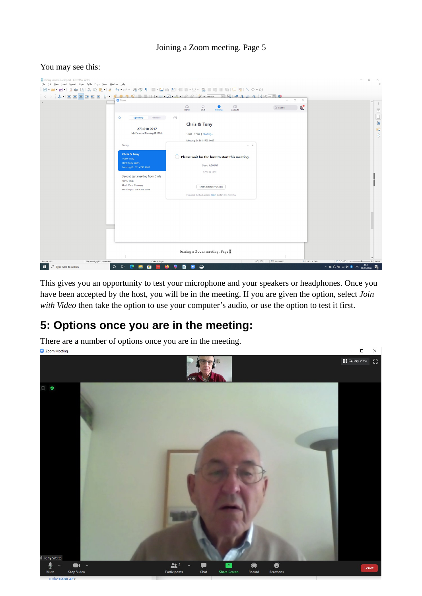#### Joining a Zoom meeting. Page 5

#### You may see this:

| Joining a Zoom meeting.odt - LibreOffice Writer<br>File Edit View Insert Format Styles Table Form Tools Window Help                                                                                                                                                                                                                                                                                                                                                            |                                                                                                                                                                                                               |                                                                                                                                                                             |                           |                    | G<br>$\times$                                           |
|--------------------------------------------------------------------------------------------------------------------------------------------------------------------------------------------------------------------------------------------------------------------------------------------------------------------------------------------------------------------------------------------------------------------------------------------------------------------------------|---------------------------------------------------------------------------------------------------------------------------------------------------------------------------------------------------------------|-----------------------------------------------------------------------------------------------------------------------------------------------------------------------------|---------------------------|--------------------|---------------------------------------------------------|
| $\blacksquare \bullet \blacksquare \bullet \blacksquare \bullet \blacksquare \texttt{[1]} \texttt{[2]} \texttt{[3]} \texttt{[4]} \texttt{[5]} \texttt{[6]} \bullet \bullet \bullet \bullet \texttt{[6]} \texttt{[7]} \texttt{[7]} \texttt{[8]} \texttt{[8]} \texttt{[8]} \texttt{[9]} \texttt{[8]} \texttt{[7]} \texttt{[8]} \texttt{[7]} \texttt{[8]} \texttt{[8]} \texttt{[9]} \texttt{[9]} \texttt{[9]} \texttt{[9]} \texttt{[9]} \texttt{[1]} \texttt{[1]} \texttt{[1]} \$ |                                                                                                                                                                                                               |                                                                                                                                                                             |                           |                    |                                                         |
| $\langle\ \rangle\langle\ \rangle$                                                                                                                                                                                                                                                                                                                                                                                                                                             | <b>O</b> Zoom                                                                                                                                                                                                 |                                                                                                                                                                             | ÷                         | $\Box$<br>$\times$ |                                                         |
|                                                                                                                                                                                                                                                                                                                                                                                                                                                                                |                                                                                                                                                                                                               | $\boxed{2}$<br>⋒<br>$\qquad \qquad \Box$<br>$\bullet$<br>Home<br>Chat<br>Meetings<br>Contacts                                                                               | Q Search                  | e.                 | $\hat{\phantom{a}}$<br>$\ddot{\cdot}$<br>$\boxed{x}$    |
|                                                                                                                                                                                                                                                                                                                                                                                                                                                                                | $\circ$<br>Recorded<br>Upcoming<br>273 810 9917<br>My Personal Meeting ID (PMI)                                                                                                                               | (F)<br><b>Chris &amp; Tony</b><br>16:00 - 17:00   Starting                                                                                                                  |                           |                    | $\frac{1}{\mathbf{A}}$<br>喧<br>$\circledcirc$           |
|                                                                                                                                                                                                                                                                                                                                                                                                                                                                                |                                                                                                                                                                                                               | Meeting ID: 861 4793 9087                                                                                                                                                   |                           |                    |                                                         |
|                                                                                                                                                                                                                                                                                                                                                                                                                                                                                | Today<br><b>Chris &amp; Tony</b><br>16:00-17:00<br><b>Host: Tony Watts</b><br>Meeting ID: 861 4793 9087<br>Second test meeting from Chris<br>18:15-18:45<br>Host: Chris Chinnery<br>Meeting ID: 916 4316 3904 | Please wait for the host to start this meeting.<br><b>Start: 4:00 PM</b><br>Chris & Tony<br>Test Computer Audio<br>If you are the host, please login to start this meeting. | $- x $                    |                    |                                                         |
| 884 words, 4,822 characters<br>Page 4 of 5                                                                                                                                                                                                                                                                                                                                                                                                                                     | Default Style                                                                                                                                                                                                 | Joining a Zoom meeting. Page 5                                                                                                                                              | 121.85/0.32<br>$n \mid n$ | ill 13.31 x 7.49   | $\checkmark$<br>$0000 - -$<br>$+ 140%$<br>$-1$<br>21:41 |
| $\circ$<br>$\circ$<br>Type here to search<br>н                                                                                                                                                                                                                                                                                                                                                                                                                                 | Ê<br>Ξi<br>Ħ.                                                                                                                                                                                                 | $\boldsymbol{\widehat{\omega}}$                                                                                                                                             |                           |                    | ヘ● D 输 系(D) 3 ENG<br>暑<br>08/07/2020                    |

This gives you an opportunity to test your microphone and your speakers or headphones. Once you have been accepted by the host, you will be in the meeting. If you are given the option, select *Join with Video* then take the option to use your computer's audio, or use the option to test it first.

> $\Box$  $\times$

## **5: Options once you are in the meeting:**

There are a number of options once you are in the meeting.  $\overline{Q}$  Zoom Meeting